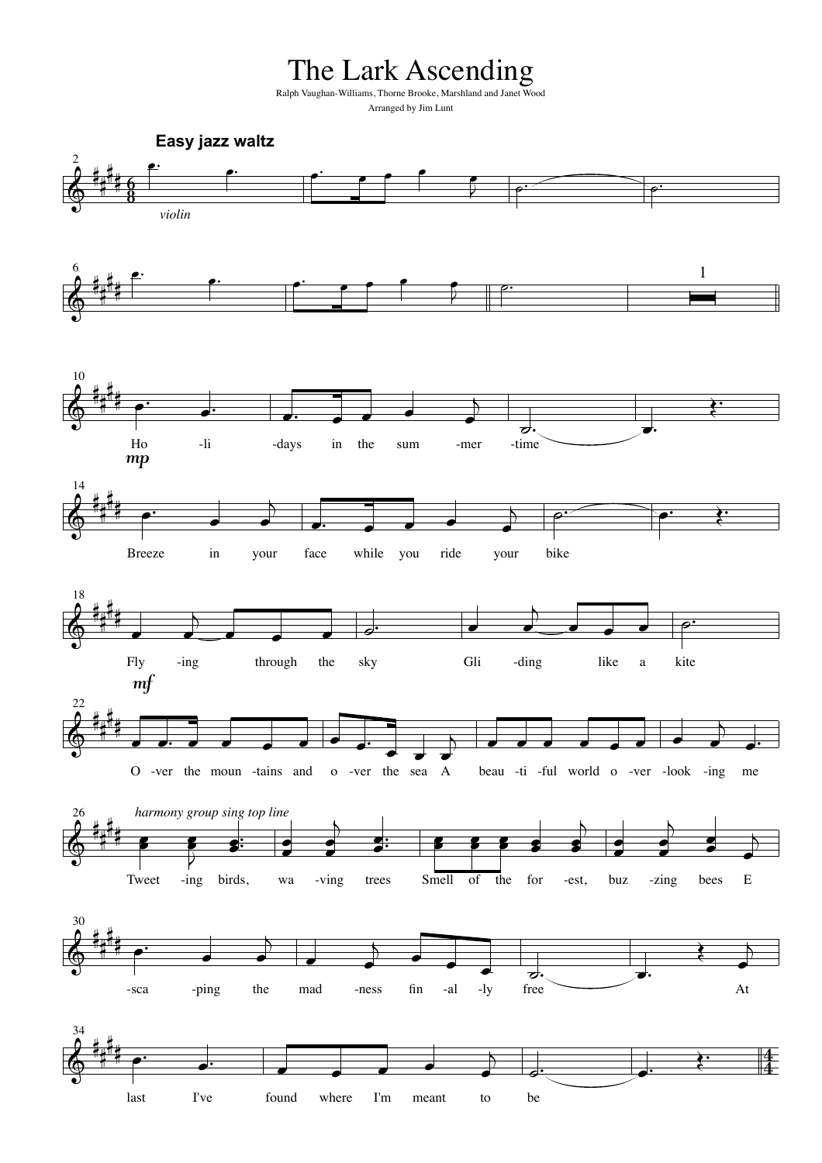The Lark Ascending

Ralph Vaughan-Williams, Thorne Brooke, Marshland and Janet Wood Arranged by Jim Lunt

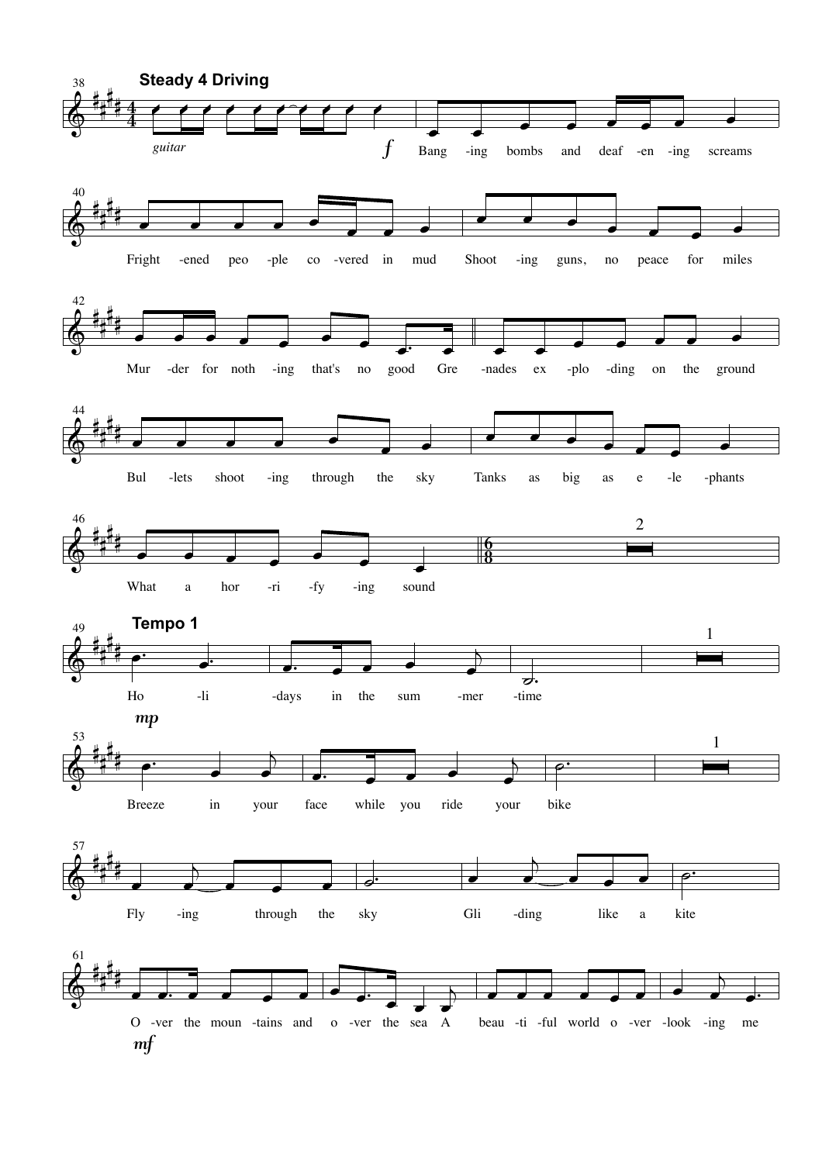